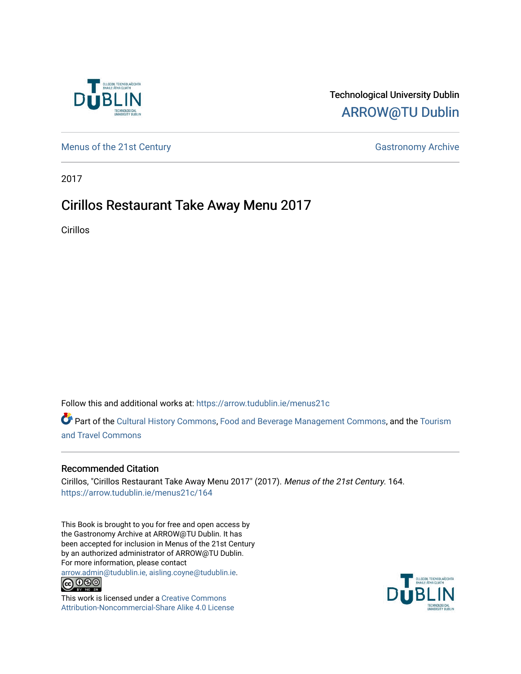

# Technological University Dublin [ARROW@TU Dublin](https://arrow.tudublin.ie/)

[Menus of the 21st Century](https://arrow.tudublin.ie/menus21c) Gastronomy Archive

2017

# Cirillos Restaurant Take Away Menu 2017

Cirillos

Follow this and additional works at: [https://arrow.tudublin.ie/menus21c](https://arrow.tudublin.ie/menus21c?utm_source=arrow.tudublin.ie%2Fmenus21c%2F164&utm_medium=PDF&utm_campaign=PDFCoverPages) 

Part of the [Cultural History Commons](http://network.bepress.com/hgg/discipline/496?utm_source=arrow.tudublin.ie%2Fmenus21c%2F164&utm_medium=PDF&utm_campaign=PDFCoverPages), [Food and Beverage Management Commons,](http://network.bepress.com/hgg/discipline/1089?utm_source=arrow.tudublin.ie%2Fmenus21c%2F164&utm_medium=PDF&utm_campaign=PDFCoverPages) and the [Tourism](http://network.bepress.com/hgg/discipline/1082?utm_source=arrow.tudublin.ie%2Fmenus21c%2F164&utm_medium=PDF&utm_campaign=PDFCoverPages) [and Travel Commons](http://network.bepress.com/hgg/discipline/1082?utm_source=arrow.tudublin.ie%2Fmenus21c%2F164&utm_medium=PDF&utm_campaign=PDFCoverPages)

# Recommended Citation

Cirillos, "Cirillos Restaurant Take Away Menu 2017" (2017). Menus of the 21st Century. 164. [https://arrow.tudublin.ie/menus21c/164](https://arrow.tudublin.ie/menus21c/164?utm_source=arrow.tudublin.ie%2Fmenus21c%2F164&utm_medium=PDF&utm_campaign=PDFCoverPages) 

This Book is brought to you for free and open access by the Gastronomy Archive at ARROW@TU Dublin. It has been accepted for inclusion in Menus of the 21st Century by an authorized administrator of ARROW@TU Dublin. For more information, please contact

[arrow.admin@tudublin.ie, aisling.coyne@tudublin.ie](mailto:arrow.admin@tudublin.ie,%20aisling.coyne@tudublin.ie).<br>
co 060



This work is licensed under a [Creative Commons](http://creativecommons.org/licenses/by-nc-sa/4.0/) [Attribution-Noncommercial-Share Alike 4.0 License](http://creativecommons.org/licenses/by-nc-sa/4.0/)